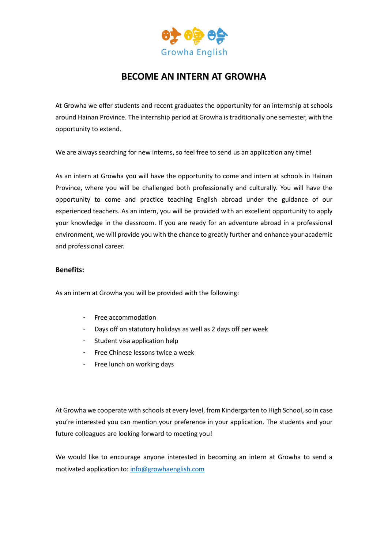

# **BECOME AN INTERN AT GROWHA**

At Growha we offer students and recent graduates the opportunity for an internship at schools around Hainan Province. The internship period at Growha is traditionally one semester, with the opportunity to extend.

We are always searching for new interns, so feel free to send us an application any time!

As an intern at Growha you will have the opportunity to come and intern at schools in Hainan Province, where you will be challenged both professionally and culturally. You will have the opportunity to come and practice teaching English abroad under the guidance of our experienced teachers. As an intern, you will be provided with an excellent opportunity to apply your knowledge in the classroom. If you are ready for an adventure abroad in a professional environment, we will provide you with the chance to greatly further and enhance your academic and professional career.

### **Benefits:**

As an intern at Growha you will be provided with the following:

- Free accommodation
- Days off on statutory holidays as well as 2 days off per week
- Student visa application help
- Free Chinese lessons twice a week
- Free lunch on working days

At Growha we cooperate with schools at every level, from Kindergarten to High School, so in case you're interested you can mention your preference in your application. The students and your future colleagues are looking forward to meeting you!

We would like to encourage anyone interested in becoming an intern at Growha to send a motivated application to: [info@growhaenglish.com](mailto:info@growhaenglish.com)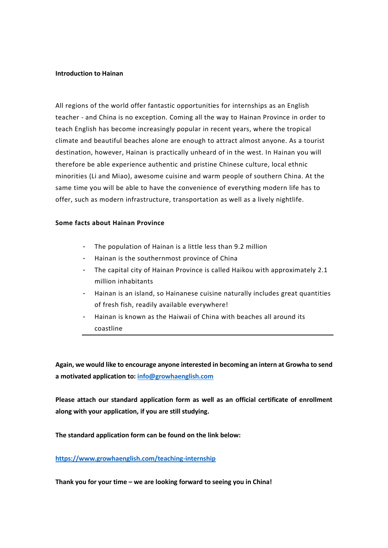#### **Introduction to Hainan**

All regions of the world offer fantastic opportunities for internships as an English teacher - and China is no exception. Coming all the way to Hainan Province in order to teach English has become increasingly popular in recent years, where the tropical climate and beautiful beaches alone are enough to attract almost anyone. As a tourist destination, however, Hainan is practically unheard of in the west. In Hainan you will therefore be able experience authentic and pristine Chinese culture, local ethnic minorities (Li and Miao), awesome cuisine and warm people of southern China. At the same time you will be able to have the convenience of everything modern life has to offer, such as modern infrastructure, transportation as well as a lively nightlife.

#### **Some facts about Hainan Province**

- The population of Hainan is a little less than 9.2 million
- Hainan is the southernmost province of China
- The capital city of Hainan Province is called Haikou with approximately 2.1 million inhabitants
- Hainan is an island, so Hainanese cuisine naturally includes great quantities of fresh fish, readily available everywhere!
- Hainan is known as the Haiwaii of China with beaches all around its coastline

**Again, we would like to encourage anyone interested in becoming an intern at Growha to send a motivated application to: [info@growhaenglish.com](mailto:info@growhaenglish.com)**

**Please attach our standard application form as well as an official certificate of enrollment along with your application, if you are still studying.** 

**The standard application form can be found on the link below:**

## **<https://www.growhaenglish.com/teaching-internship>**

**Thank you for your time – we are looking forward to seeing you in China!**